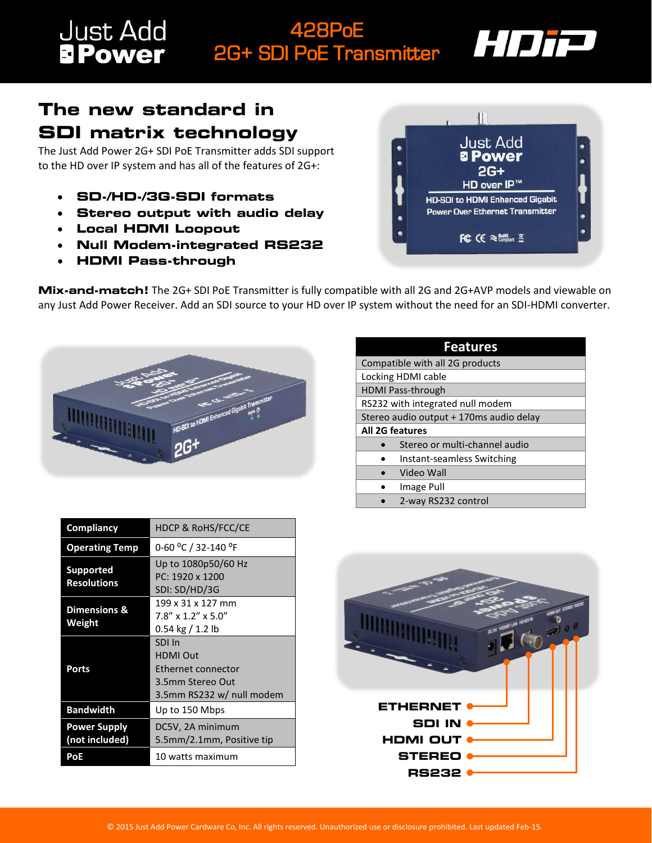## **Just Add**<br>**BPower** 428PoE 2G+ SDI PoE Transmitter



## **The new standard in SDI matrix technology**

The Just Add Power 2G+ SDI PoE Transmitter adds SDI support to the HD over IP system and has all of the features of 2G+:

- **SD-/HD-/3G-SDI formats**
- **Stereo output with audio delay**
- **Local HDMI Loopout**
- **Null Modem-integrated RS232**
- **HDMI Pass-through**



**Mix-and-match!** The 2G+ SDI PoE Transmitter is fully compatible with all 2G and 2G+AVP models and viewable on any Just Add Power Receiver. Add an SDI source to your HD over IP system without the need for an SDI-HDMI converter.



| <b>Features</b>                         |  |
|-----------------------------------------|--|
| Compatible with all 2G products         |  |
| Locking HDMI cable                      |  |
| <b>HDMI Pass-through</b>                |  |
| RS232 with integrated null modem        |  |
| Stereo audio output + 170ms audio delay |  |
| <b>All 2G features</b>                  |  |
| Stereo or multi-channel audio           |  |
| Instant-seamless Switching              |  |
| Video Wall                              |  |
| Image Pull                              |  |
| 2-way RS232 control                     |  |

| Compliancy                             | <b>HDCP &amp; RoHS/FCC/CE</b>                                                                    |
|----------------------------------------|--------------------------------------------------------------------------------------------------|
| <b>Operating Temp</b>                  | 0-60 °C / 32-140 °F                                                                              |
| <b>Supported</b><br><b>Resolutions</b> | Up to 1080p50/60 Hz<br>PC: 1920 x 1200<br>SDI: SD/HD/3G                                          |
| <b>Dimensions &amp;</b><br>Weight      | 199 x 31 x 127 mm<br>$7.8'' \times 1.2'' \times 5.0''$<br>$0.54$ kg / 1.2 lb                     |
| Ports                                  | SDI In<br><b>HDMI Out</b><br>Ethernet connector<br>3.5mm Stereo Out<br>3.5mm RS232 w/ null modem |
| <b>Bandwidth</b>                       | Up to 150 Mbps                                                                                   |
| <b>Power Supply</b><br>(not included)  | DC5V, 2A minimum<br>5.5mm/2.1mm, Positive tip                                                    |
| PoE                                    | 10 watts maximum                                                                                 |